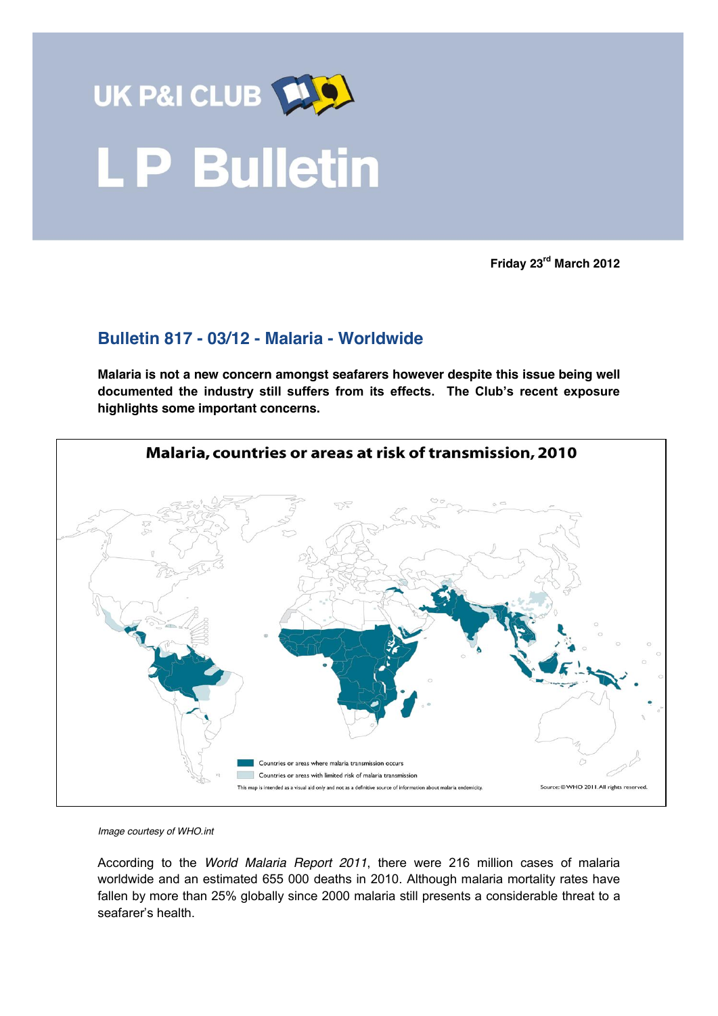

**Friday 23rd March 2012**

## **Bulletin 817 - 03/12 - Malaria - Worldwide**

**Malaria is not a new concern amongst seafarers however despite this issue being well documented the industry still suffers from its effects. The Club's recent exposure highlights some important concerns.** 



*Image courtesy of WHO.int*

According to the *World Malaria Report 2011*, there were 216 million cases of malaria worldwide and an estimated 655 000 deaths in 2010. Although malaria mortality rates have fallen by more than 25% globally since 2000 malaria still presents a considerable threat to a seafarer's health.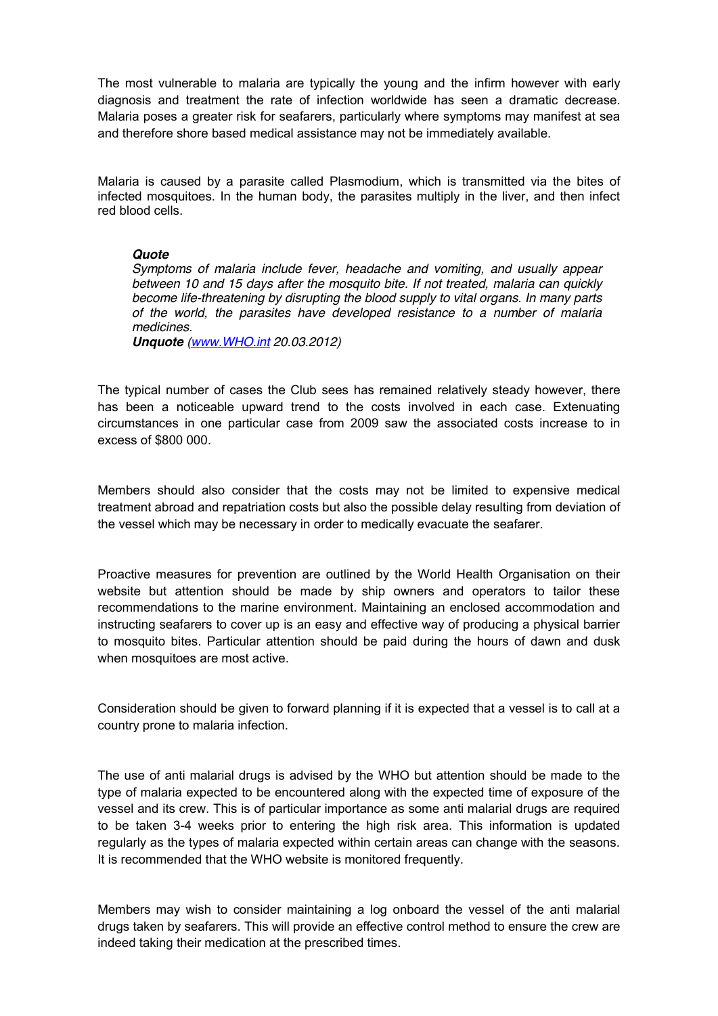The most vulnerable to malaria are typically the young and the infirm however with early diagnosis and treatment the rate of infection worldwide has seen a dramatic decrease. Malaria poses a greater risk for seafarers, particularly where symptoms may manifest at sea and therefore shore based medical assistance may not be immediately available.

Malaria is caused by a parasite called Plasmodium, which is transmitted via the bites of infected mosquitoes. In the human body, the parasites multiply in the liver, and then infect red blood cells.

## *Quote*

*Symptoms of malaria include fever, headache and vomiting, and usually appear between 10 and 15 days after the mosquito bite. If not treated, malaria can quickly become life-threatening by disrupting the blood supply to vital organs. In many parts of the world, the parasites have developed resistance to a number of malaria medicines.* 

*Unquote [\(www.WHO.int](http://www.who.int/) 20.03.2012)*

The typical number of cases the Club sees has remained relatively steady however, there has been a noticeable upward trend to the costs involved in each case. Extenuating circumstances in one particular case from 2009 saw the associated costs increase to in excess of \$800 000*.* 

Members should also consider that the costs may not be limited to expensive medical treatment abroad and repatriation costs but also the possible delay resulting from deviation of the vessel which may be necessary in order to medically evacuate the seafarer.

Proactive measures for prevention are outlined by the World Health Organisation on their website but attention should be made by ship owners and operators to tailor these recommendations to the marine environment. Maintaining an enclosed accommodation and instructing seafarers to cover up is an easy and effective way of producing a physical barrier to mosquito bites. Particular attention should be paid during the hours of dawn and dusk when mosquitoes are most active.

Consideration should be given to forward planning if it is expected that a vessel is to call at a country prone to malaria infection.

The use of anti malarial drugs is advised by the WHO but attention should be made to the type of malaria expected to be encountered along with the expected time of exposure of the vessel and its crew. This is of particular importance as some anti malarial drugs are required to be taken 3-4 weeks prior to entering the high risk area. This information is updated regularly as the types of malaria expected within certain areas can change with the seasons. It is recommended that the WHO website is monitored frequently.

Members may wish to consider maintaining a log onboard the vessel of the anti malarial drugs taken by seafarers. This will provide an effective control method to ensure the crew are indeed taking their medication at the prescribed times.